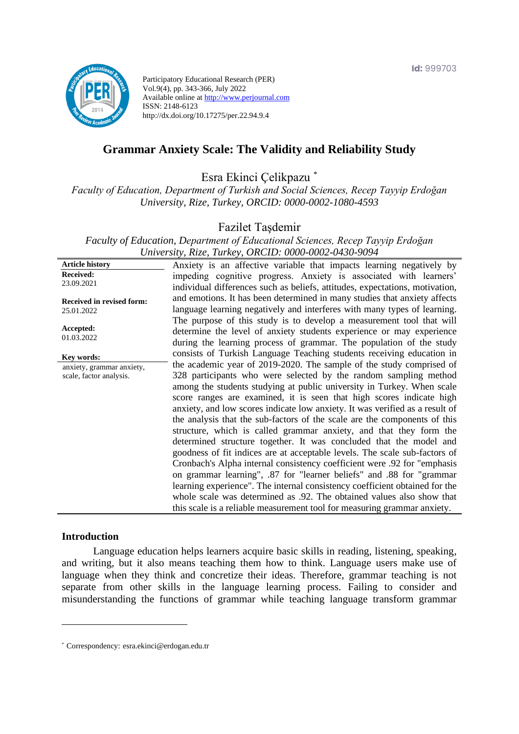

Participatory Educational Research (PER) Vol.9(4), pp. 343-366, July 2022 Available online at http://www.perjournal.com ISSN: 2148-6123 http://dx.doi.org/10.17275/per.22.94.9.4

# **Grammar Anxiety Scale: The Validity and Reliability Study**

Esra Ekinci Çelikpazu \*

*Faculty of Education, Department of Turkish and Social Sciences, Recep Tayyip Erdoğan University, Rize, Turkey, ORCID: 0000-0002-1080-4593*

Fazilet Taşdemir

*Faculty of Education, Department of Educational Sciences, Recep Tayyip Erdoğan University, Rize, Turkey, ORCID: 0000-0002-0430-9094*

**Article history Received:**  23.09.2021 **Received in revised form:**  25.01.2022 **Accepted:** 01.03.2022 Anxiety is an affective variable that impacts learning negatively by impeding cognitive progress. Anxiety is associated with learners' individual differences such as beliefs, attitudes, expectations, motivation, and emotions. It has been determined in many studies that anxiety affects language learning negatively and interferes with many types of learning. The purpose of this study is to develop a measurement tool that will determine the level of anxiety students experience or may experience during the learning process of grammar. The population of the study consists of Turkish Language Teaching students receiving education in the academic year of 2019-2020. The sample of the study comprised of 328 participants who were selected by the random sampling method among the students studying at public university in Turkey. When scale score ranges are examined, it is seen that high scores indicate high anxiety, and low scores indicate low anxiety. It was verified as a result of the analysis that the sub-factors of the scale are the components of this structure, which is called grammar anxiety, and that they form the determined structure together. It was concluded that the model and goodness of fit indices are at acceptable levels. The scale sub-factors of Cronbach's Alpha internal consistency coefficient were .92 for "emphasis on grammar learning", .87 for "learner beliefs" and .88 for "grammar learning experience". The internal consistency coefficient obtained for the whole scale was determined as .92. The obtained values also show that this scale is a reliable measurement tool for measuring grammar anxiety. **Key words:** anxiety, grammar anxiety, scale, factor analysis.

#### **Introduction**

Language education helps learners acquire basic skills in reading, listening, speaking, and writing, but it also means teaching them how to think. Language users make use of language when they think and concretize their ideas. Therefore, grammar teaching is not separate from other skills in the language learning process. Failing to consider and misunderstanding the functions of grammar while teaching language transform grammar

<sup>\*</sup> [Correspondency:](mailto:Correspondency:) esra.ekinci@erdogan.edu.tr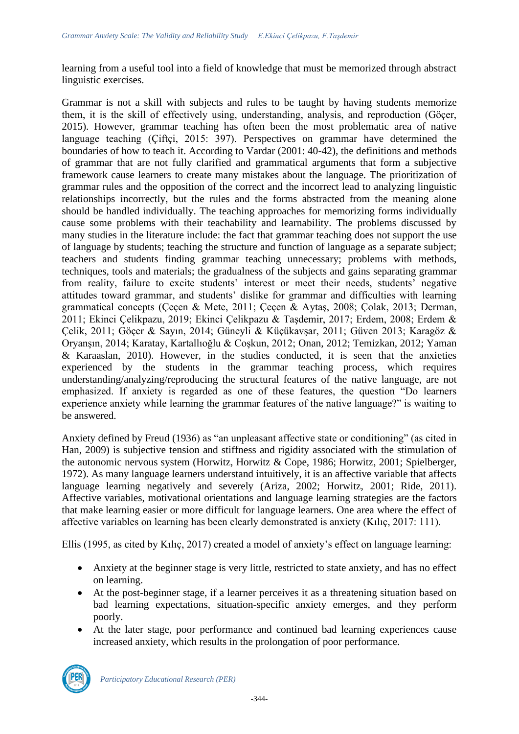learning from a useful tool into a field of knowledge that must be memorized through abstract linguistic exercises.

Grammar is not a skill with subjects and rules to be taught by having students memorize them, it is the skill of effectively using, understanding, analysis, and reproduction (Göçer, 2015). However, grammar teaching has often been the most problematic area of native language teaching (Çiftçi, 2015: 397). Perspectives on grammar have determined the boundaries of how to teach it. According to Vardar (2001: 40-42), the definitions and methods of grammar that are not fully clarified and grammatical arguments that form a subjective framework cause learners to create many mistakes about the language. The prioritization of grammar rules and the opposition of the correct and the incorrect lead to analyzing linguistic relationships incorrectly, but the rules and the forms abstracted from the meaning alone should be handled individually. The teaching approaches for memorizing forms individually cause some problems with their teachability and learnability. The problems discussed by many studies in the literature include: the fact that grammar teaching does not support the use of language by students; teaching the structure and function of language as a separate subject; teachers and students finding grammar teaching unnecessary; problems with methods, techniques, tools and materials; the gradualness of the subjects and gains separating grammar from reality, failure to excite students' interest or meet their needs, students' negative attitudes toward grammar, and students' dislike for grammar and difficulties with learning grammatical concepts (Çeçen & Mete, 2011; Çeçen & Aytaş, 2008; Çolak, 2013; Derman, 2011; Ekinci Çelikpazu, 2019; Ekinci Çelikpazu & Taşdemir, 2017; Erdem, 2008; Erdem & Çelik, 2011; Göçer & Sayın, 2014; Güneyli & Küçükavşar, 2011; Güven 2013; Karagöz & Oryanşın, 2014; Karatay, Kartallıoğlu & Coşkun, 2012; Onan, 2012; Temizkan, 2012; Yaman & Karaaslan, 2010). However, in the studies conducted, it is seen that the anxieties experienced by the students in the grammar teaching process, which requires understanding/analyzing/reproducing the structural features of the native language, are not emphasized. If anxiety is regarded as one of these features, the question "Do learners experience anxiety while learning the grammar features of the native language?" is waiting to be answered.

Anxiety defined by Freud (1936) as "an unpleasant affective state or conditioning" (as cited in Han, 2009) is subjective tension and stiffness and rigidity associated with the stimulation of the autonomic nervous system (Horwitz, Horwitz & Cope, 1986; Horwitz, 2001; Spielberger, 1972). As many language learners understand intuitively, it is an affective variable that affects language learning negatively and severely (Ariza, 2002; Horwitz, 2001; Ride, 2011). Affective variables, motivational orientations and language learning strategies are the factors that make learning easier or more difficult for language learners. One area where the effect of affective variables on learning has been clearly demonstrated is anxiety (Kılıç, 2017: 111).

Ellis (1995, as cited by Kılıç, 2017) created a model of anxiety's effect on language learning:

- Anxiety at the beginner stage is very little, restricted to state anxiety, and has no effect on learning.
- At the post-beginner stage, if a learner perceives it as a threatening situation based on bad learning expectations, situation-specific anxiety emerges, and they perform poorly.
- At the later stage, poor performance and continued bad learning experiences cause increased anxiety, which results in the prolongation of poor performance.

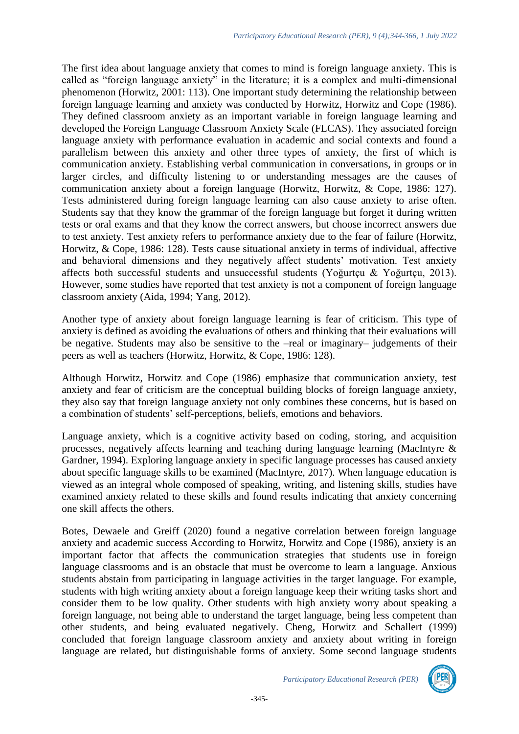The first idea about language anxiety that comes to mind is foreign language anxiety. This is called as "foreign language anxiety" in the literature; it is a complex and multi-dimensional phenomenon (Horwitz, 2001: 113). One important study determining the relationship between foreign language learning and anxiety was conducted by Horwitz, Horwitz and Cope (1986). They defined classroom anxiety as an important variable in foreign language learning and developed the Foreign Language Classroom Anxiety Scale (FLCAS). They associated foreign language anxiety with performance evaluation in academic and social contexts and found a parallelism between this anxiety and other three types of anxiety, the first of which is communication anxiety. Establishing verbal communication in conversations, in groups or in larger circles, and difficulty listening to or understanding messages are the causes of communication anxiety about a foreign language (Horwitz, Horwitz, & Cope, 1986: 127). Tests administered during foreign language learning can also cause anxiety to arise often. Students say that they know the grammar of the foreign language but forget it during written tests or oral exams and that they know the correct answers, but choose incorrect answers due to test anxiety. Test anxiety refers to performance anxiety due to the fear of failure (Horwitz, Horwitz, & Cope, 1986: 128). Tests cause situational anxiety in terms of individual, affective and behavioral dimensions and they negatively affect students' motivation. Test anxiety affects both successful students and unsuccessful students (Yoğurtçu & Yoğurtçu, 2013). However, some studies have reported that test anxiety is not a component of foreign language classroom anxiety (Aida, 1994; Yang, 2012).

Another type of anxiety about foreign language learning is fear of criticism. This type of anxiety is defined as avoiding the evaluations of others and thinking that their evaluations will be negative. Students may also be sensitive to the –real or imaginary– judgements of their peers as well as teachers (Horwitz, Horwitz, & Cope, 1986: 128).

Although Horwitz, Horwitz and Cope (1986) emphasize that communication anxiety, test anxiety and fear of criticism are the conceptual building blocks of foreign language anxiety, they also say that foreign language anxiety not only combines these concerns, but is based on a combination of students' self-perceptions, beliefs, emotions and behaviors.

Language anxiety, which is a cognitive activity based on coding, storing, and acquisition processes, negatively affects learning and teaching during language learning (MacIntyre & Gardner, 1994). Exploring language anxiety in specific language processes has caused anxiety about specific language skills to be examined (MacIntyre, 2017). When language education is viewed as an integral whole composed of speaking, writing, and listening skills, studies have examined anxiety related to these skills and found results indicating that anxiety concerning one skill affects the others.

Botes, Dewaele and Greiff (2020) found a negative correlation between foreign language anxiety and academic success According to Horwitz, Horwitz and Cope (1986), anxiety is an important factor that affects the communication strategies that students use in foreign language classrooms and is an obstacle that must be overcome to learn a language. Anxious students abstain from participating in language activities in the target language. For example, students with high writing anxiety about a foreign language keep their writing tasks short and consider them to be low quality. Other students with high anxiety worry about speaking a foreign language, not being able to understand the target language, being less competent than other students, and being evaluated negatively. Cheng, Horwitz and Schallert (1999) concluded that foreign language classroom anxiety and anxiety about writing in foreign language are related, but distinguishable forms of anxiety. Some second language students

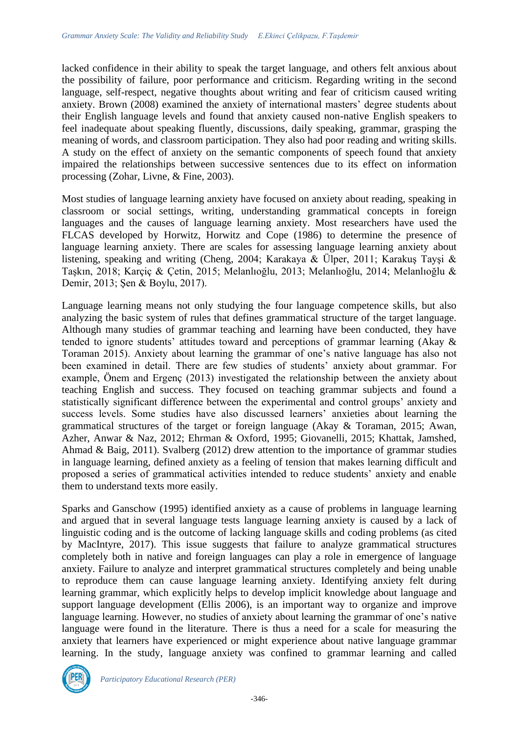lacked confidence in their ability to speak the target language, and others felt anxious about the possibility of failure, poor performance and criticism. Regarding writing in the second language, self-respect, negative thoughts about writing and fear of criticism caused writing anxiety. Brown (2008) examined the anxiety of international masters' degree students about their English language levels and found that anxiety caused non-native English speakers to feel inadequate about speaking fluently, discussions, daily speaking, grammar, grasping the meaning of words, and classroom participation. They also had poor reading and writing skills. A study on the effect of anxiety on the semantic components of speech found that anxiety impaired the relationships between successive sentences due to its effect on information processing (Zohar, Livne, & Fine, 2003).

Most studies of language learning anxiety have focused on anxiety about reading, speaking in classroom or social settings, writing, understanding grammatical concepts in foreign languages and the causes of language learning anxiety. Most researchers have used the FLCAS developed by Horwitz, Horwitz and Cope (1986) to determine the presence of language learning anxiety. There are scales for assessing language learning anxiety about listening, speaking and writing (Cheng, 2004; Karakaya & Ülper, 2011; Karakuş Tayşi & Taşkın, 2018; Karçiç & Çetin, 2015; Melanlıoğlu, 2013; Melanlıoğlu, 2014; Melanlıoğlu & Demir, 2013; Şen & Boylu, 2017).

Language learning means not only studying the four language competence skills, but also analyzing the basic system of rules that defines grammatical structure of the target language. Although many studies of grammar teaching and learning have been conducted, they have tended to ignore students' attitudes toward and perceptions of grammar learning (Akay & Toraman 2015). Anxiety about learning the grammar of one's native language has also not been examined in detail. There are few studies of students' anxiety about grammar. For example, Önem and Ergenç (2013) investigated the relationship between the anxiety about teaching English and success. They focused on teaching grammar subjects and found a statistically significant difference between the experimental and control groups' anxiety and success levels. Some studies have also discussed learners' anxieties about learning the grammatical structures of the target or foreign language (Akay & Toraman, 2015; Awan, Azher, Anwar & Naz, 2012; Ehrman & Oxford, 1995; Giovanelli, 2015; Khattak, Jamshed, Ahmad & Baig, 2011). Svalberg (2012) drew attention to the importance of grammar studies in language learning, defined anxiety as a feeling of tension that makes learning difficult and proposed a series of grammatical activities intended to reduce students' anxiety and enable them to understand texts more easily.

Sparks and Ganschow (1995) identified anxiety as a cause of problems in language learning and argued that in several language tests language learning anxiety is caused by a lack of linguistic coding and is the outcome of lacking language skills and coding problems (as cited by MacIntyre, 2017). This issue suggests that failure to analyze grammatical structures completely both in native and foreign languages can play a role in emergence of language anxiety. Failure to analyze and interpret grammatical structures completely and being unable to reproduce them can cause language learning anxiety. Identifying anxiety felt during learning grammar, which explicitly helps to develop implicit knowledge about language and support language development (Ellis 2006), is an important way to organize and improve language learning. However, no studies of anxiety about learning the grammar of one's native language were found in the literature. There is thus a need for a scale for measuring the anxiety that learners have experienced or might experience about native language grammar learning. In the study, language anxiety was confined to grammar learning and called

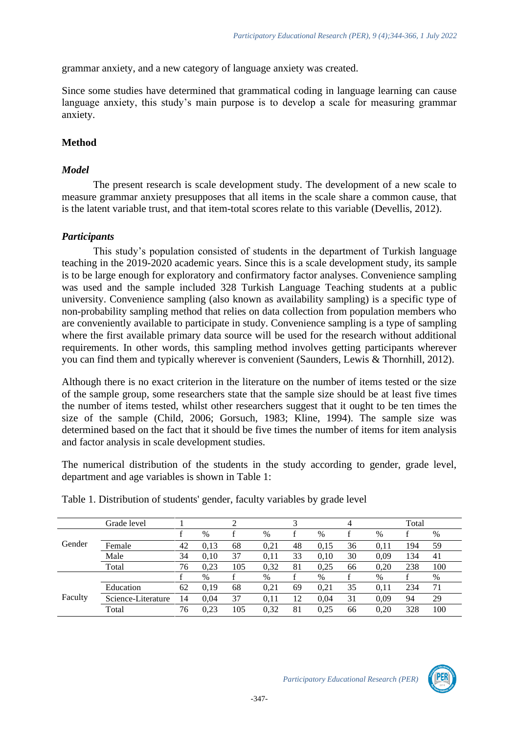grammar anxiety, and a new category of language anxiety was created.

Since some studies have determined that grammatical coding in language learning can cause language anxiety, this study's main purpose is to develop a scale for measuring grammar anxiety.

# **Method**

# *Model*

The present research is scale development study. The development of a new scale to measure grammar anxiety presupposes that all items in the scale share a common cause, that is the latent variable trust, and that item-total scores relate to this variable (Devellis, 2012).

# *Participants*

This study's population consisted of students in the department of Turkish language teaching in the 2019-2020 academic years. Since this is a scale development study, its sample is to be large enough for exploratory and confirmatory factor analyses. Convenience sampling was used and the sample included 328 Turkish Language Teaching students at a public university. Convenience sampling (also known as availability sampling) is a specific type of non-probability sampling method that relies on data collection from population members who are conveniently available to participate in study. Convenience sampling is a type of sampling where the first available primary data source will be used for the research without additional requirements. In other words, this sampling method involves getting participants wherever you can find them and typically wherever is convenient (Saunders, Lewis & Thornhill, 2012).

Although there is no exact criterion in the literature on the number of items tested or the size of the sample group, some researchers state that the sample size should be at least five times the number of items tested, whilst other researchers suggest that it ought to be ten times the size of the sample (Child, 2006; Gorsuch, 1983; Kline, 1994). The sample size was determined based on the fact that it should be five times the number of items for item analysis and factor analysis in scale development studies.

The numerical distribution of the students in the study according to gender, grade level, department and age variables is shown in Table 1:

|         | Grade level        |    |      |     |      |    |      | 4  |      | Total |      |
|---------|--------------------|----|------|-----|------|----|------|----|------|-------|------|
|         |                    |    | $\%$ |     | $\%$ |    | $\%$ |    | $\%$ |       | $\%$ |
| Gender  | Female             | 42 | 0.13 | 68  | 0,21 | 48 | 0.15 | 36 | 0.11 | 194   | 59   |
|         | Male               | 34 | 0.10 | 37  | 0,11 | 33 | 0.10 | 30 | 0.09 | 134   | 41   |
|         | Total              | 76 | 0.23 | 105 | 0,32 | 81 | 0.25 | 66 | 0.20 | 238   | 100  |
|         |                    |    | $\%$ |     | $\%$ |    | $\%$ |    | $\%$ |       | $\%$ |
|         | Education          | 62 | 0.19 | 68  | 0,21 | 69 | 0,21 | 35 | 0,11 | 234   | 71   |
| Faculty | Science-Literature | 14 | 0.04 | 37  | 0.11 | 12 | 0.04 | 31 | 0.09 | 94    | 29   |
|         | Total              | 76 | 0,23 | 105 | 0,32 | 81 | 0,25 | 66 | 0.20 | 328   | 100  |
|         |                    |    |      |     |      |    |      |    |      |       |      |

Table 1. Distribution of students' gender, faculty variables by grade level

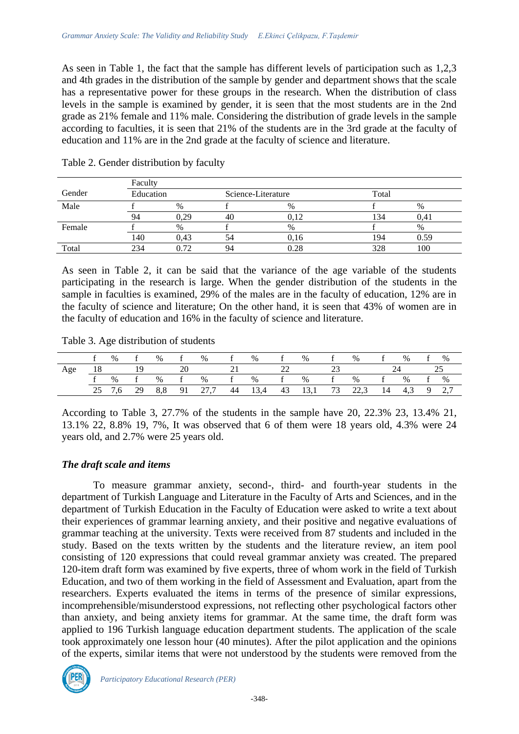As seen in Table 1, the fact that the sample has different levels of participation such as 1,2,3 and 4th grades in the distribution of the sample by gender and department shows that the scale has a representative power for these groups in the research. When the distribution of class levels in the sample is examined by gender, it is seen that the most students are in the 2nd grade as 21% female and 11% male. Considering the distribution of grade levels in the sample according to faculties, it is seen that 21% of the students are in the 3rd grade at the faculty of education and 11% are in the 2nd grade at the faculty of science and literature.

|        | Faculty   |      |                    |      |       |      |
|--------|-----------|------|--------------------|------|-------|------|
| Gender | Education |      | Science-Literature |      | Total |      |
| Male   |           | $\%$ |                    | $\%$ |       | $\%$ |
|        | 94        | 0.29 | 40                 | 0.12 | .34   | 0.41 |
| Female |           | $\%$ |                    | $\%$ |       | %    |
|        | 140       | 0.43 | 54                 | 0.16 | 194   | 0.59 |
| Total  | 234       | 0.72 |                    | 0.28 | 328   | 100  |

Table 2. Gender distribution by faculty

As seen in Table 2, it can be said that the variance of the age variable of the students participating in the research is large. When the gender distribution of the students in the sample in faculties is examined, 29% of the males are in the faculty of education, 12% are in the faculty of science and literature; On the other hand, it is seen that 43% of women are in the faculty of education and 16% in the faculty of science and literature.

Table 3. Age distribution of students

|     |     | $\%$  | f % | f  | $\%$ | $\mathcal{L}$ is the function of $f$ | $\%$ | $\mathbf{f}$ | $\%$ | $\mathbf{f}$ and $\mathbf{f}$ and $\mathbf{f}$ and $\mathbf{f}$ | $\%$                                                       | $\mathbf{I}$ | $% f$ % |  |
|-----|-----|-------|-----|----|------|--------------------------------------|------|--------------|------|-----------------------------------------------------------------|------------------------------------------------------------|--------------|---------|--|
| Age |     | 18 19 |     | 20 |      |                                      |      | 22           |      | 23                                                              |                                                            |              | 24      |  |
|     | f % |       |     |    |      |                                      |      |              |      |                                                                 | f % f % f % f % f % f % f %                                |              |         |  |
|     |     |       |     |    |      |                                      |      |              |      |                                                                 | 25 7,6 29 8,8 91 27,7 44 13,4 43 13,1 73 22,3 14 4,3 9 2,7 |              |         |  |

According to Table 3, 27.7% of the students in the sample have 20, 22.3% 23, 13.4% 21, 13.1% 22, 8.8% 19, 7%, It was observed that 6 of them were 18 years old, 4.3% were 24 years old, and 2.7% were 25 years old.

#### *The draft scale and items*

To measure grammar anxiety, second-, third- and fourth-year students in the department of Turkish Language and Literature in the Faculty of Arts and Sciences, and in the department of Turkish Education in the Faculty of Education were asked to write a text about their experiences of grammar learning anxiety, and their positive and negative evaluations of grammar teaching at the university. Texts were received from 87 students and included in the study. Based on the texts written by the students and the literature review, an item pool consisting of 120 expressions that could reveal grammar anxiety was created. The prepared 120-item draft form was examined by five experts, three of whom work in the field of Turkish Education, and two of them working in the field of Assessment and Evaluation, apart from the researchers. Experts evaluated the items in terms of the presence of similar expressions, incomprehensible/misunderstood expressions, not reflecting other psychological factors other than anxiety, and being anxiety items for grammar. At the same time, the draft form was applied to 196 Turkish language education department students. The application of the scale took approximately one lesson hour (40 minutes). After the pilot application and the opinions of the experts, similar items that were not understood by the students were removed from the

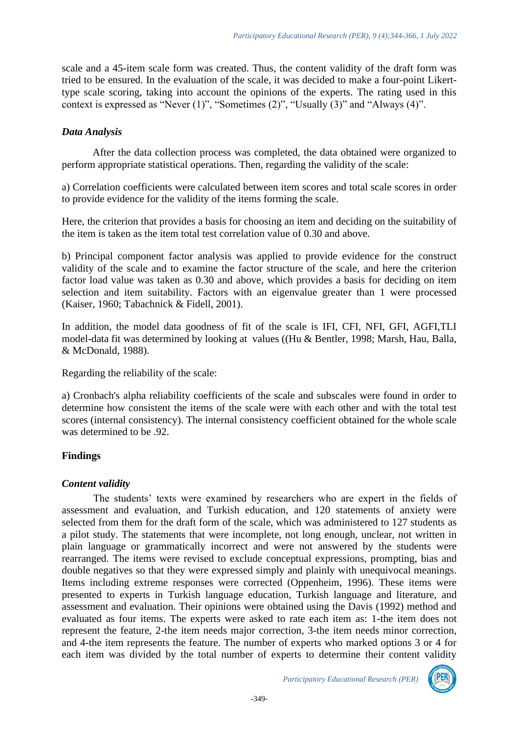scale and a 45-item scale form was created. Thus, the content validity of the draft form was tried to be ensured. In the evaluation of the scale, it was decided to make a four-point Likerttype scale scoring, taking into account the opinions of the experts. The rating used in this context is expressed as "Never (1)", "Sometimes (2)", "Usually (3)" and "Always (4)".

## *Data Analysis*

After the data collection process was completed, the data obtained were organized to perform appropriate statistical operations. Then, regarding the validity of the scale:

a) Correlation coefficients were calculated between item scores and total scale scores in order to provide evidence for the validity of the items forming the scale.

Here, the criterion that provides a basis for choosing an item and deciding on the suitability of the item is taken as the item total test correlation value of 0.30 and above.

b) Principal component factor analysis was applied to provide evidence for the construct validity of the scale and to examine the factor structure of the scale, and here the criterion factor load value was taken as 0.30 and above, which provides a basis for deciding on item selection and item suitability. Factors with an eigenvalue greater than 1 were processed (Kaiser, 1960; Tabachnick & Fidell, 2001).

In addition, the model data goodness of fit of the scale is IFI, CFI, NFI, GFI, AGFI,TLI model-data fit was determined by looking at values ((Hu & Bentler, 1998; Marsh, Hau, Balla, & McDonald, 1988).

Regarding the reliability of the scale:

a) Cronbach's alpha reliability coefficients of the scale and subscales were found in order to determine how consistent the items of the scale were with each other and with the total test scores (internal consistency). The internal consistency coefficient obtained for the whole scale was determined to be .92.

# **Findings**

# *Content validity*

The students' texts were examined by researchers who are expert in the fields of assessment and evaluation, and Turkish education, and 120 statements of anxiety were selected from them for the draft form of the scale, which was administered to 127 students as a pilot study. The statements that were incomplete, not long enough, unclear, not written in plain language or grammatically incorrect and were not answered by the students were rearranged. The items were revised to exclude conceptual expressions, prompting, bias and double negatives so that they were expressed simply and plainly with unequivocal meanings. Items including extreme responses were corrected (Oppenheim, 1996). These items were presented to experts in Turkish language education, Turkish language and literature, and assessment and evaluation. Their opinions were obtained using the Davis (1992) method and evaluated as four items. The experts were asked to rate each item as: 1-the item does not represent the feature, 2-the item needs major correction, 3-the item needs minor correction, and 4-the item represents the feature. The number of experts who marked options 3 or 4 for each item was divided by the total number of experts to determine their content validity

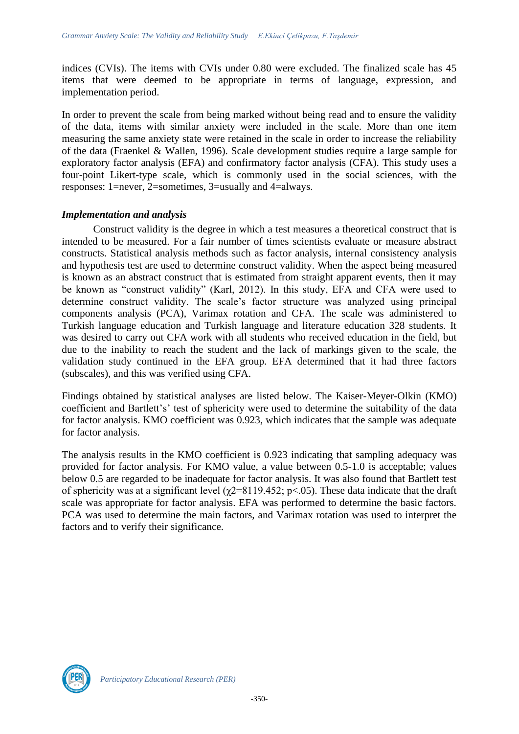indices (CVIs). The items with CVIs under 0.80 were excluded. The finalized scale has 45 items that were deemed to be appropriate in terms of language, expression, and implementation period.

In order to prevent the scale from being marked without being read and to ensure the validity of the data, items with similar anxiety were included in the scale. More than one item measuring the same anxiety state were retained in the scale in order to increase the reliability of the data (Fraenkel & Wallen, 1996). Scale development studies require a large sample for exploratory factor analysis (EFA) and confirmatory factor analysis (CFA). This study uses a four-point Likert-type scale, which is commonly used in the social sciences, with the responses: 1=never, 2=sometimes, 3=usually and 4=always.

#### *Implementation and analysis*

Construct validity is the degree in which a test measures a theoretical construct that is intended to be measured. For a fair number of times scientists evaluate or measure abstract constructs. Statistical analysis methods such as factor analysis, internal consistency analysis and hypothesis test are used to determine construct validity. When the aspect being measured is known as an abstract construct that is estimated from straight apparent events, then it may be known as "construct validity" (Karl, 2012). In this study, EFA and CFA were used to determine construct validity. The scale's factor structure was analyzed using principal components analysis (PCA), Varimax rotation and CFA. The scale was administered to Turkish language education and Turkish language and literature education 328 students. It was desired to carry out CFA work with all students who received education in the field, but due to the inability to reach the student and the lack of markings given to the scale, the validation study continued in the EFA group. EFA determined that it had three factors (subscales), and this was verified using CFA.

Findings obtained by statistical analyses are listed below. The Kaiser-Meyer-Olkin (KMO) coefficient and Bartlett's' test of sphericity were used to determine the suitability of the data for factor analysis. KMO coefficient was 0.923, which indicates that the sample was adequate for factor analysis.

The analysis results in the KMO coefficient is 0.923 indicating that sampling adequacy was provided for factor analysis. For KMO value, a value between 0.5-1.0 is acceptable; values below 0.5 are regarded to be inadequate for factor analysis. It was also found that Bartlett test of sphericity was at a significant level ( $\chi$ 2=8119.452; p<.05). These data indicate that the draft scale was appropriate for factor analysis. EFA was performed to determine the basic factors. PCA was used to determine the main factors, and Varimax rotation was used to interpret the factors and to verify their significance.

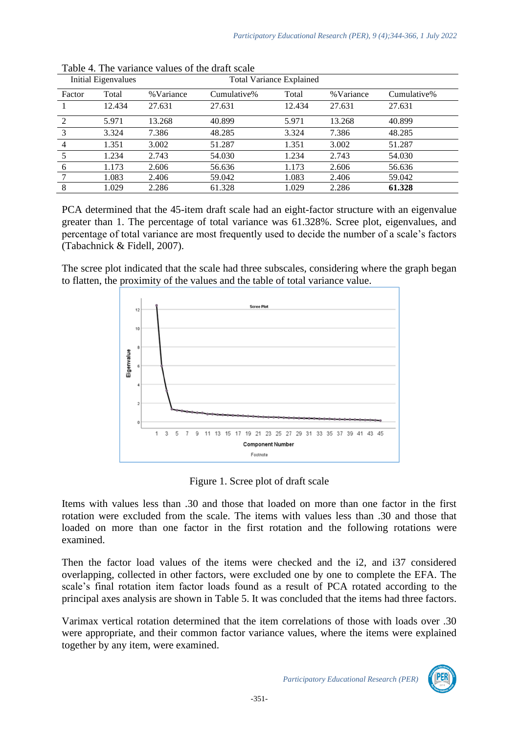|                | Initial Eigenvalues |           |             | <b>Total Variance Explained</b> |           |             |
|----------------|---------------------|-----------|-------------|---------------------------------|-----------|-------------|
| Factor         | Total               | %Variance | Cumulative% | Total                           | %Variance | Cumulative% |
|                | 12.434              | 27.631    | 27.631      | 12.434                          | 27.631    | 27.631      |
| $\mathcal{D}$  | 5.971               | 13.268    | 40.899      | 5.971                           | 13.268    | 40.899      |
| 3              | 3.324               | 7.386     | 48.285      | 3.324                           | 7.386     | 48.285      |
| $\overline{4}$ | 1.351               | 3.002     | 51.287      | 1.351                           | 3.002     | 51.287      |
|                | 1.234               | 2.743     | 54.030      | 1.234                           | 2.743     | 54.030      |
| 6              | 1.173               | 2.606     | 56.636      | 1.173                           | 2.606     | 56.636      |
|                | 1.083               | 2.406     | 59.042      | 1.083                           | 2.406     | 59.042      |
| 8              | 1.029               | 2.286     | 61.328      | 1.029                           | 2.286     | 61.328      |

Table 4. The variance values of the draft scale

PCA determined that the 45-item draft scale had an eight-factor structure with an eigenvalue greater than 1. The percentage of total variance was 61.328%. Scree plot, eigenvalues, and percentage of total variance are most frequently used to decide the number of a scale's factors (Tabachnick & Fidell, 2007).

The scree plot indicated that the scale had three subscales, considering where the graph began to flatten, the proximity of the values and the table of total variance value.



Figure 1. Scree plot of draft scale

Items with values less than .30 and those that loaded on more than one factor in the first rotation were excluded from the scale. The items with values less than .30 and those that loaded on more than one factor in the first rotation and the following rotations were examined.

Then the factor load values of the items were checked and the i2, and i37 considered overlapping, collected in other factors, were excluded one by one to complete the EFA. The scale's final rotation item factor loads found as a result of PCA rotated according to the principal axes analysis are shown in Table 5. It was concluded that the items had three factors.

Varimax vertical rotation determined that the item correlations of those with loads over .30 were appropriate, and their common factor variance values, where the items were explained together by any item, were examined.

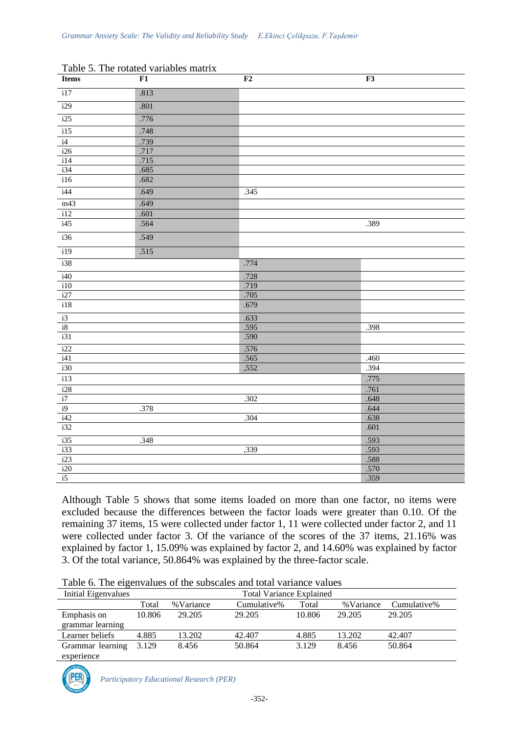| <b>Items</b>     | F1   | $\mathbf{F2}$ | F3   |
|------------------|------|---------------|------|
| i17              | .813 |               |      |
| i29              | .801 |               |      |
| i25              | .776 |               |      |
| $\overline{115}$ | .748 |               |      |
| i4               | .739 |               |      |
| i26              | .717 |               |      |
| i14              | .715 |               |      |
| i34              | .685 |               |      |
| i16              | .682 |               |      |
| i44              | .649 | .345          |      |
| m43              | .649 |               |      |
| i12              | .601 |               |      |
| i45              | .564 |               | .389 |
| i36              | .549 |               |      |
| i19              | .515 |               |      |
| i38              |      | .774          |      |
| $\frac{1}{40}$   |      | .728          |      |
| i10              |      | .719          |      |
| i27              |      | .705          |      |
| i18              |      | .679          |      |
| $\frac{i3}{i8}$  |      | .633          |      |
|                  |      | .595          | .398 |
| i31              |      | .590          |      |
| i22              |      | .576          |      |
| i41              |      | .565          | .460 |
| i30              |      | ,552          | .394 |
| i13              |      |               | .775 |
| $\overline{i28}$ |      |               | .761 |
| i7               |      | .302          | .648 |
| i9               | .378 |               | .644 |
| i42              |      | .304          | .638 |
| i32              |      |               | .601 |
| i35              | .348 |               | .593 |
| i33              |      | ,339          | .593 |
| i23              |      |               | .588 |
| i20              |      |               | .570 |
| i5               |      |               | .359 |

| Table 5. The rotated variables matrix |
|---------------------------------------|
|---------------------------------------|

Although Table 5 shows that some items loaded on more than one factor, no items were excluded because the differences between the factor loads were greater than 0.10. Of the remaining 37 items, 15 were collected under factor 1, 11 were collected under factor 2, and 11 were collected under factor 3. Of the variance of the scores of the 37 items, 21.16% was explained by factor 1, 15.09% was explained by factor 2, and 14.60% was explained by factor 3. Of the total variance, 50.864% was explained by the three-factor scale.

| Initial Eigenvalues |        |           | <b>Total Variance Explained</b> |        |            |             |
|---------------------|--------|-----------|---------------------------------|--------|------------|-------------|
|                     | Total  | %Variance | Cumulative%                     | Total  | % Variance | Cumulative% |
| Emphasis on         | 10.806 | 29.205    | 29.205                          | 10.806 | 29.205     | 29.205      |
| grammar learning    |        |           |                                 |        |            |             |
| Learner beliefs     | 4.885  | 13.202    | 42.407                          | 4.885  | 13.202     | 42.407      |
| Grammar learning    | 3.129  | 8.456     | 50.864                          | 3.129  | 8.456      | 50.864      |
| experience          |        |           |                                 |        |            |             |

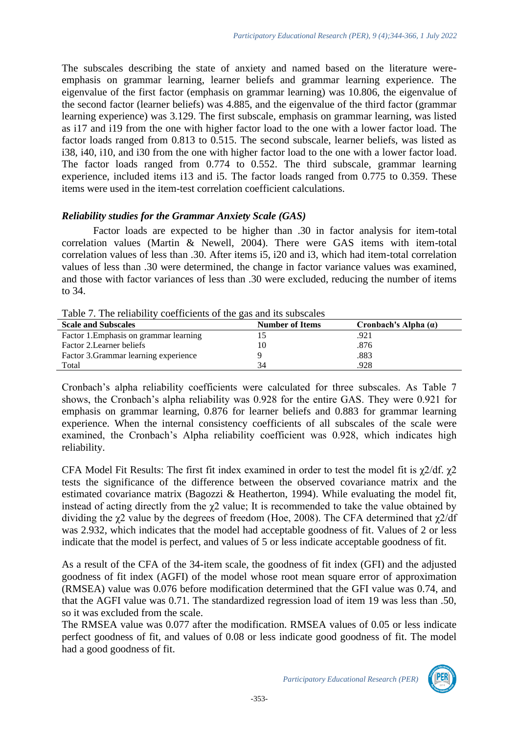The subscales describing the state of anxiety and named based on the literature wereemphasis on grammar learning, learner beliefs and grammar learning experience. The eigenvalue of the first factor (emphasis on grammar learning) was 10.806, the eigenvalue of the second factor (learner beliefs) was 4.885, and the eigenvalue of the third factor (grammar learning experience) was 3.129. The first subscale, emphasis on grammar learning, was listed as i17 and i19 from the one with higher factor load to the one with a lower factor load. The factor loads ranged from 0.813 to 0.515. The second subscale, learner beliefs, was listed as i38, i40, i10, and i30 from the one with higher factor load to the one with a lower factor load. The factor loads ranged from 0.774 to 0.552. The third subscale, grammar learning experience, included items i13 and i5. The factor loads ranged from 0.775 to 0.359. These items were used in the item-test correlation coefficient calculations.

### *Reliability studies for the Grammar Anxiety Scale (GAS)*

Factor loads are expected to be higher than .30 in factor analysis for item-total correlation values (Martin & Newell, 2004). There were GAS items with item-total correlation values of less than .30. After items i5, i20 and i3, which had item-total correlation values of less than .30 were determined, the change in factor variance values was examined, and those with factor variances of less than .30 were excluded, reducing the number of items to 34.

Table 7. The reliability coefficients of the gas and its subscales

| <b>Scale and Subscales</b>             | <b>Number of Items</b> | Cronbach's Alpha $(a)$ |
|----------------------------------------|------------------------|------------------------|
| Factor 1. Emphasis on grammar learning |                        | .921                   |
| Factor 2. Learner beliefs              | 10                     | .876                   |
| Factor 3. Grammar learning experience  |                        | .883                   |
| Total                                  | 34                     | .928                   |

Cronbach's alpha reliability coefficients were calculated for three subscales. As Table 7 shows, the Cronbach's alpha reliability was 0.928 for the entire GAS. They were 0.921 for emphasis on grammar learning, 0.876 for learner beliefs and 0.883 for grammar learning experience. When the internal consistency coefficients of all subscales of the scale were examined, the Cronbach's Alpha reliability coefficient was 0.928, which indicates high reliability.

CFA Model Fit Results: The first fit index examined in order to test the model fit is  $\chi$ 2/df.  $\chi$ 2 tests the significance of the difference between the observed covariance matrix and the estimated covariance matrix (Bagozzi & Heatherton, 1994). While evaluating the model fit, instead of acting directly from the  $\chi$ 2 value; It is recommended to take the value obtained by dividing the  $\gamma$ 2 value by the degrees of freedom (Hoe, 2008). The CFA determined that  $\gamma$ 2/df was 2.932, which indicates that the model had acceptable goodness of fit. Values of 2 or less indicate that the model is perfect, and values of 5 or less indicate acceptable goodness of fit.

As a result of the CFA of the 34-item scale, the goodness of fit index (GFI) and the adjusted goodness of fit index (AGFI) of the model whose root mean square error of approximation (RMSEA) value was 0.076 before modification determined that the GFI value was 0.74, and that the AGFI value was 0.71. The standardized regression load of item 19 was less than .50, so it was excluded from the scale.

The RMSEA value was 0.077 after the modification. RMSEA values of 0.05 or less indicate perfect goodness of fit, and values of 0.08 or less indicate good goodness of fit. The model had a good goodness of fit.

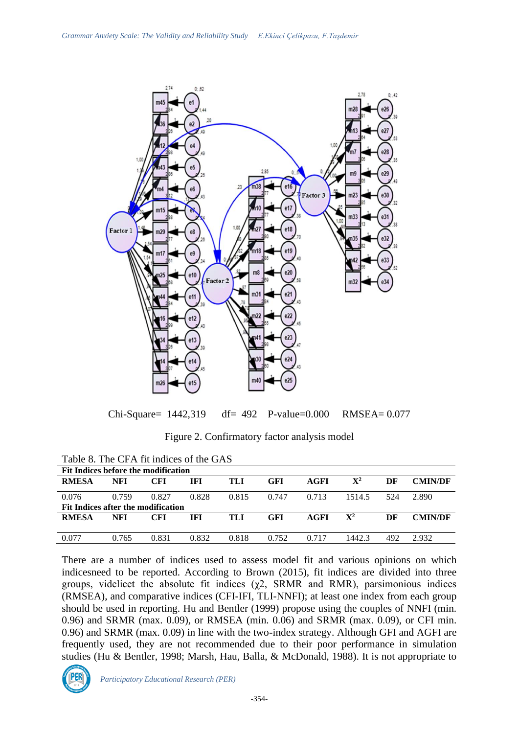

Chi-Square= 1442,319 df= 492 P-value=0.000 RMSEA= 0.077

Figure 2. Confirmatory factor analysis model

| Fit Indices before the modification |       |       |       |       |       |       |                |     |                |
|-------------------------------------|-------|-------|-------|-------|-------|-------|----------------|-----|----------------|
| <b>RMESA</b>                        | NFI   | CFI   | IFI   | TLI   | GFI   | AGFI  | $\mathbf{X}^2$ | DF  | <b>CMIN/DF</b> |
|                                     |       |       |       |       |       |       |                |     |                |
| 0.076                               | 0.759 | 0.827 | 0.828 | 0.815 | 0.747 | 0.713 | 1514.5         | 524 | 2.890          |
| Fit Indices after the modification  |       |       |       |       |       |       |                |     |                |
| <b>RMESA</b>                        | NFI   | CFI   | IFI   | TLI   | GFI   | AGFI  | $\mathbf{X}^2$ | DF  | <b>CMIN/DF</b> |
|                                     |       |       |       |       |       |       |                |     |                |
|                                     |       |       |       |       |       |       |                |     |                |
| 0.077                               | 0.765 | 0.831 | 0.832 | 0.818 | 0.752 | 0.717 | 1442.3         | 492 | 2.932          |
|                                     |       |       |       |       |       |       |                |     |                |

Table 8. The CFA fit indices of the GAS

There are a number of indices used to assess model fit and various opinions on which indicesneed to be reported. According to Brown (2015), fit indices are divided into three groups, videlicet the absolute fit indices  $(\chi^2)$ , SRMR and RMR), parsimonious indices (RMSEA), and comparative indices (CFI-IFI, TLI-NNFI); at least one index from each group should be used in reporting. Hu and Bentler (1999) propose using the couples of NNFI (min. 0.96) and SRMR (max. 0.09), or RMSEA (min. 0.06) and SRMR (max. 0.09), or CFI min. 0.96) and SRMR (max. 0.09) in line with the two-index strategy. Although GFI and AGFI are frequently used, they are not recommended due to their poor performance in simulation studies (Hu & Bentler, 1998; Marsh, Hau, Balla, & McDonald, 1988). It is not appropriate to

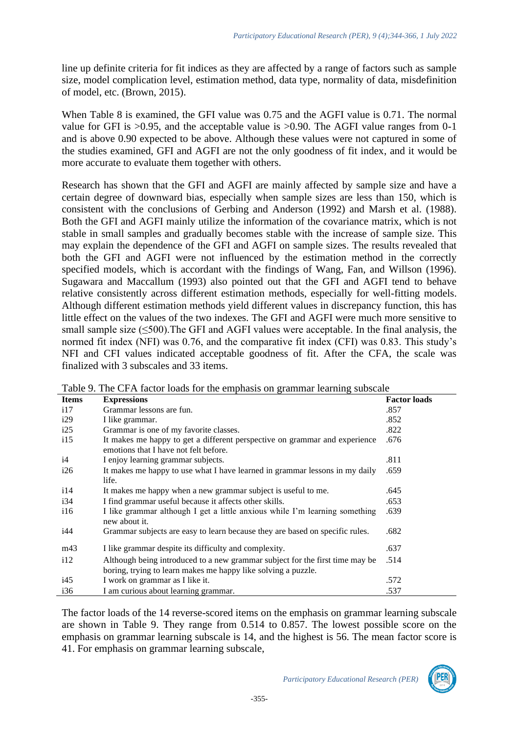line up definite criteria for fit indices as they are affected by a range of factors such as sample size, model complication level, estimation method, data type, normality of data, misdefinition of model, etc. (Brown, 2015).

When Table 8 is examined, the GFI value was 0.75 and the AGFI value is 0.71. The normal value for GFI is >0.95, and the acceptable value is >0.90. The AGFI value ranges from 0-1 and is above 0.90 expected to be above. Although these values were not captured in some of the studies examined, GFI and AGFI are not the only goodness of fit index, and it would be more accurate to evaluate them together with others.

Research has shown that the GFI and AGFI are mainly affected by sample size and have a certain degree of downward bias, especially when sample sizes are less than 150, which is consistent with the conclusions of Gerbing and Anderson (1992) and Marsh et al. (1988). Both the GFI and AGFI mainly utilize the information of the covariance matrix, which is not stable in small samples and gradually becomes stable with the increase of sample size. This may explain the dependence of the GFI and AGFI on sample sizes. The results revealed that both the GFI and AGFI were not influenced by the estimation method in the correctly specified models, which is accordant with the findings of Wang, Fan, and Willson (1996). Sugawara and Maccallum (1993) also pointed out that the GFI and AGFI tend to behave relative consistently across different estimation methods, especially for well-fitting models. Although different estimation methods yield different values in discrepancy function, this has little effect on the values of the two indexes. The GFI and AGFI were much more sensitive to small sample size (<500). The GFI and AGFI values were acceptable. In the final analysis, the normed fit index (NFI) was 0.76, and the comparative fit index (CFI) was 0.83. This study's NFI and CFI values indicated acceptable goodness of fit. After the CFA, the scale was finalized with 3 subscales and 33 items.

| <b>Items</b> | <b>Expressions</b>                                                                                                                            | <b>Factor loads</b> |
|--------------|-----------------------------------------------------------------------------------------------------------------------------------------------|---------------------|
| 117          | Grammar lessons are fun.                                                                                                                      | .857                |
| i29          | I like grammar.                                                                                                                               | .852                |
| i25          | Grammar is one of my favorite classes.                                                                                                        | .822                |
| 115          | It makes me happy to get a different perspective on grammar and experience<br>emotions that I have not felt before.                           | .676                |
| i4           | I enjoy learning grammar subjects.                                                                                                            | .811                |
| i26          | It makes me happy to use what I have learned in grammar lessons in my daily<br>life.                                                          | .659                |
| 114          | It makes me happy when a new grammar subject is useful to me.                                                                                 | .645                |
| i34          | I find grammar useful because it affects other skills.                                                                                        | .653                |
| 116          | I like grammar although I get a little anxious while I'm learning something<br>new about it.                                                  | .639                |
| i44          | Grammar subjects are easy to learn because they are based on specific rules.                                                                  | .682                |
| m43          | I like grammar despite its difficulty and complexity.                                                                                         | .637                |
| 112          | Although being introduced to a new grammar subject for the first time may be<br>boring, trying to learn makes me happy like solving a puzzle. | .514                |
| i45          | I work on grammar as I like it.                                                                                                               | .572                |
| i36          | I am curious about learning grammar.                                                                                                          | .537                |

Table 9. The CFA factor loads for the emphasis on grammar learning subscale

The factor loads of the 14 reverse-scored items on the emphasis on grammar learning subscale are shown in Table 9. They range from 0.514 to 0.857. The lowest possible score on the emphasis on grammar learning subscale is 14, and the highest is 56. The mean factor score is 41. For emphasis on grammar learning subscale,

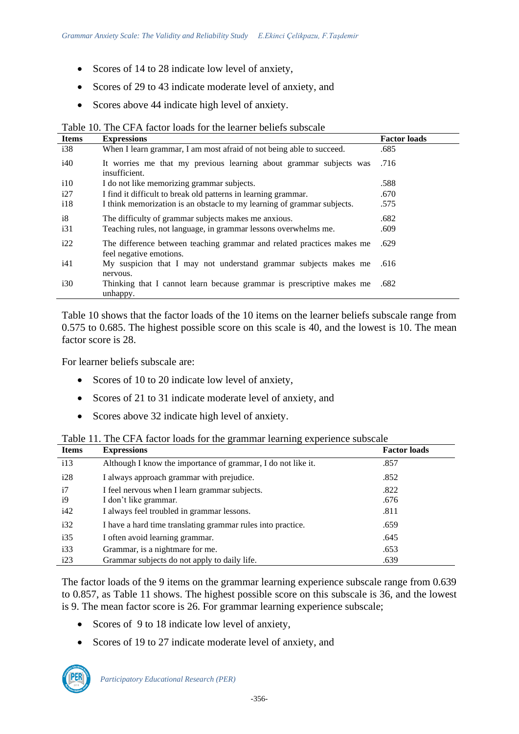- Scores of 14 to 28 indicate low level of anxiety,
- Scores of 29 to 43 indicate moderate level of anxiety, and
- Scores above 44 indicate high level of anxiety.

Table 10. The CFA factor loads for the learner beliefs subscale

| <b>Items</b> | <b>Expressions</b>                                                                                | <b>Factor loads</b> |
|--------------|---------------------------------------------------------------------------------------------------|---------------------|
| i38          | When I learn grammar, I am most afraid of not being able to succeed.                              | .685                |
| i40          | It worries me that my previous learning about grammar subjects was<br>insufficient.               | .716                |
| 110          | I do not like memorizing grammar subjects.                                                        | .588                |
| i27          | I find it difficult to break old patterns in learning grammar.                                    | .670                |
| 118          | I think memorization is an obstacle to my learning of grammar subjects.                           | .575                |
| i8           | The difficulty of grammar subjects makes me anxious.                                              | .682                |
| i31          | Teaching rules, not language, in grammar lessons overwhelms me.                                   | .609                |
| i22          | The difference between teaching grammar and related practices makes me<br>feel negative emotions. | .629                |
| i41          | My suspicion that I may not understand grammar subjects makes me<br>nervous.                      | .616                |
| i30          | Thinking that I cannot learn because grammar is prescriptive makes me<br>unhappy.                 | .682                |

Table 10 shows that the factor loads of the 10 items on the learner beliefs subscale range from 0.575 to 0.685. The highest possible score on this scale is 40, and the lowest is 10. The mean factor score is 28.

For learner beliefs subscale are:

- Scores of 10 to 20 indicate low level of anxiety,
- Scores of 21 to 31 indicate moderate level of anxiety, and
- Scores above 32 indicate high level of anxiety.

|  | Table 11. The CFA factor loads for the grammar learning experience subscale |  |  |  |
|--|-----------------------------------------------------------------------------|--|--|--|
|  |                                                                             |  |  |  |

| <b>Items</b> | <b>Expressions</b>                                           | <b>Factor loads</b> |
|--------------|--------------------------------------------------------------|---------------------|
| 113          | Although I know the importance of grammar, I do not like it. | .857                |
| i28          | I always approach grammar with prejudice.                    | .852                |
| i7           | I feel nervous when I learn grammar subjects.                | .822                |
| i9           | I don't like grammar.                                        | .676                |
| i42          | I always feel troubled in grammar lessons.                   | .811                |
| i32          | I have a hard time translating grammar rules into practice.  | .659                |
| i35          | I often avoid learning grammar.                              | .645                |
| i33          | Grammar, is a nightmare for me.                              | .653                |
| i23          | Grammar subjects do not apply to daily life.                 | .639                |

The factor loads of the 9 items on the grammar learning experience subscale range from 0.639 to 0.857, as Table 11 shows. The highest possible score on this subscale is 36, and the lowest is 9. The mean factor score is 26. For grammar learning experience subscale;

- Scores of 9 to 18 indicate low level of anxiety,
- Scores of 19 to 27 indicate moderate level of anxiety, and

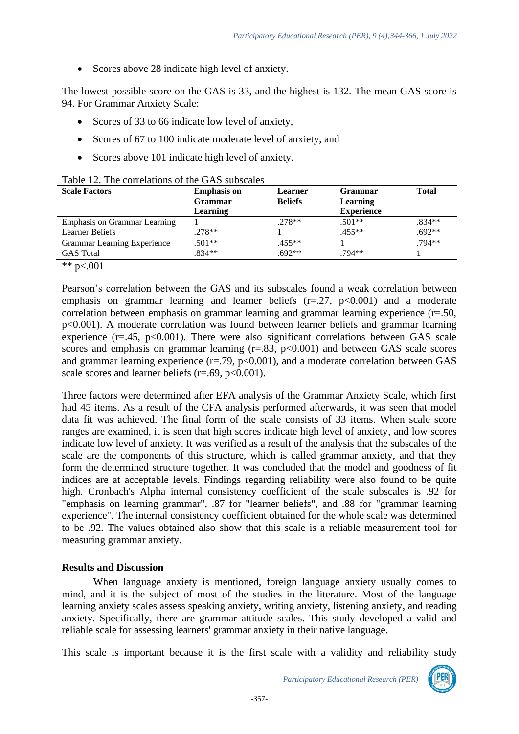• Scores above 28 indicate high level of anxiety.

The lowest possible score on the GAS is 33, and the highest is 132. The mean GAS score is 94. For Grammar Anxiety Scale:

- Scores of 33 to 66 indicate low level of anxiety,
- Scores of 67 to 100 indicate moderate level of anxiety, and
- Scores above 101 indicate high level of anxiety.

| <b>Scale Factors</b>               | <b>Emphasis on</b> | Learner        | <b>Grammar</b>    | <b>Total</b> |  |
|------------------------------------|--------------------|----------------|-------------------|--------------|--|
|                                    | <b>Grammar</b>     | <b>Beliefs</b> | Learning          |              |  |
|                                    | Learning           |                | <b>Experience</b> |              |  |
| Emphasis on Grammar Learning       |                    | $.278**$       | $.501**$          | $.834**$     |  |
| <b>Learner Beliefs</b>             | $.278**$           |                | $.455**$          | $.692**$     |  |
| <b>Grammar Learning Experience</b> | $.501**$           | $.455**$       |                   | .794**       |  |
| <b>GAS</b> Total                   | $.834**$           | $.692**$       | $.794**$          |              |  |

Table 12. The correlations of the GAS subscales

\*\*  $p < .001$ 

Pearson's correlation between the GAS and its subscales found a weak correlation between emphasis on grammar learning and learner beliefs  $(r=.27, p<0.001)$  and a moderate correlation between emphasis on grammar learning and grammar learning experience (r=.50, p<0.001). A moderate correlation was found between learner beliefs and grammar learning experience ( $r = .45$ ,  $p < 0.001$ ). There were also significant correlations between GAS scale scores and emphasis on grammar learning  $(r=.83, p<0.001)$  and between GAS scale scores and grammar learning experience  $(r=.79, p<0.001)$ , and a moderate correlation between GAS scale scores and learner beliefs ( $r = .69$ ,  $p < 0.001$ ).

Three factors were determined after EFA analysis of the Grammar Anxiety Scale, which first had 45 items. As a result of the CFA analysis performed afterwards, it was seen that model data fit was achieved. The final form of the scale consists of 33 items. When scale score ranges are examined, it is seen that high scores indicate high level of anxiety, and low scores indicate low level of anxiety. It was verified as a result of the analysis that the subscales of the scale are the components of this structure, which is called grammar anxiety, and that they form the determined structure together. It was concluded that the model and goodness of fit indices are at acceptable levels. Findings regarding reliability were also found to be quite high. Cronbach's Alpha internal consistency coefficient of the scale subscales is .92 for "emphasis on learning grammar", .87 for "learner beliefs", and .88 for "grammar learning experience". The internal consistency coefficient obtained for the whole scale was determined to be .92. The values obtained also show that this scale is a reliable measurement tool for measuring grammar anxiety.

# **Results and Discussion**

When language anxiety is mentioned, foreign language anxiety usually comes to mind, and it is the subject of most of the studies in the literature. Most of the language learning anxiety scales assess speaking anxiety, writing anxiety, listening anxiety, and reading anxiety. Specifically, there are grammar attitude scales. This study developed a valid and reliable scale for assessing learners' grammar anxiety in their native language.

This scale is important because it is the first scale with a validity and reliability study

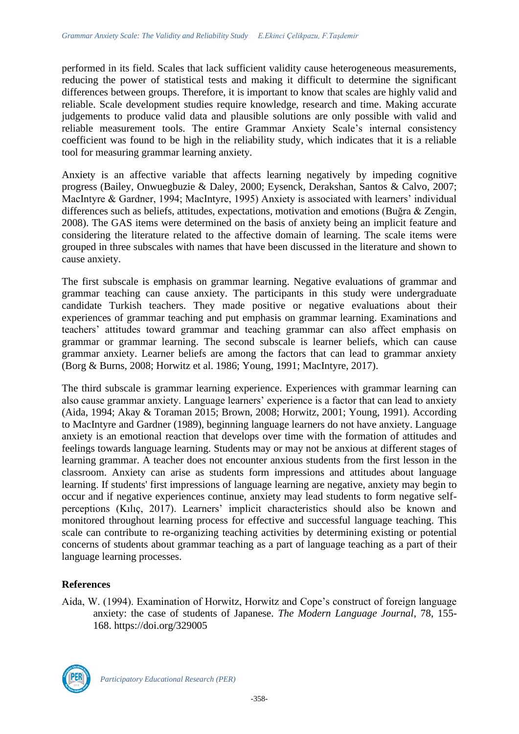performed in its field. Scales that lack sufficient validity cause heterogeneous measurements, reducing the power of statistical tests and making it difficult to determine the significant differences between groups. Therefore, it is important to know that scales are highly valid and reliable. Scale development studies require knowledge, research and time. Making accurate judgements to produce valid data and plausible solutions are only possible with valid and reliable measurement tools. The entire Grammar Anxiety Scale's internal consistency coefficient was found to be high in the reliability study, which indicates that it is a reliable tool for measuring grammar learning anxiety.

Anxiety is an affective variable that affects learning negatively by impeding cognitive progress (Bailey, Onwuegbuzie & Daley, 2000; Eysenck, Derakshan, Santos & Calvo, 2007; MacIntyre & Gardner, 1994; MacIntyre, 1995) Anxiety is associated with learners' individual differences such as beliefs, attitudes, expectations, motivation and emotions (Buğra & Zengin, 2008). The GAS items were determined on the basis of anxiety being an implicit feature and considering the literature related to the affective domain of learning. The scale items were grouped in three subscales with names that have been discussed in the literature and shown to cause anxiety.

The first subscale is emphasis on grammar learning. Negative evaluations of grammar and grammar teaching can cause anxiety. The participants in this study were undergraduate candidate Turkish teachers. They made positive or negative evaluations about their experiences of grammar teaching and put emphasis on grammar learning. Examinations and teachers' attitudes toward grammar and teaching grammar can also affect emphasis on grammar or grammar learning. The second subscale is learner beliefs, which can cause grammar anxiety. Learner beliefs are among the factors that can lead to grammar anxiety (Borg & Burns, 2008; Horwitz et al. 1986; Young, 1991; MacIntyre, 2017).

The third subscale is grammar learning experience. Experiences with grammar learning can also cause grammar anxiety. Language learners' experience is a factor that can lead to anxiety (Aida, 1994; Akay & Toraman 2015; Brown, 2008; Horwitz, 2001; Young, 1991). According to MacIntyre and Gardner (1989), beginning language learners do not have anxiety. Language anxiety is an emotional reaction that develops over time with the formation of attitudes and feelings towards language learning. Students may or may not be anxious at different stages of learning grammar. A teacher does not encounter anxious students from the first lesson in the classroom. Anxiety can arise as students form impressions and attitudes about language learning. If students' first impressions of language learning are negative, anxiety may begin to occur and if negative experiences continue, anxiety may lead students to form negative selfperceptions (Kılıç, 2017). Learners' implicit characteristics should also be known and monitored throughout learning process for effective and successful language teaching. This scale can contribute to re-organizing teaching activities by determining existing or potential concerns of students about grammar teaching as a part of language teaching as a part of their language learning processes.

# **References**

Aida, W. (1994). Examination of Horwitz, Horwitz and Cope's construct of foreign language anxiety: the case of students of Japanese. *The Modern Language Journal*, 78, 155- 168. https://doi.org/329005

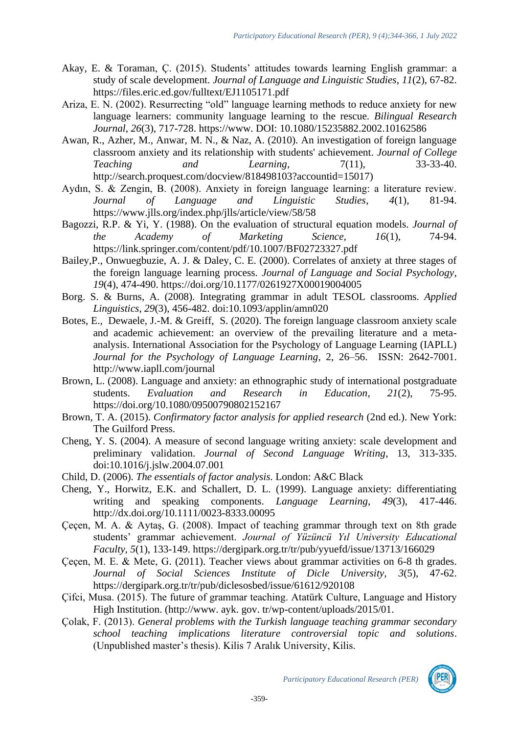- Akay, E. & Toraman, Ç. (2015). Students' attitudes towards learning English grammar: a study of scale development. *Journal of Language and Linguistic Studies*, *11*(2), 67-82. https://files.eric.ed.gov/fulltext/EJ1105171.pdf
- Ariza, E. N. (2002). Resurrecting "old" language learning methods to reduce anxiety for new language learners: community language learning to the rescue. *Bilingual Research Journal*, *26*(3), 717-728. https://www. DOI: 10.1080/15235882.2002.10162586
- Awan, R., Azher, M., Anwar, M. N., & Naz, A. (2010). An investigation of foreign language classroom anxiety and its relationship with students' achievement. *Journal of College Teaching and Learning*, 7(11), 33-33-40. http://search.proquest.com/docview/818498103?accountid=15017)
- Aydın, S. & Zengin, B. (2008). Anxiety in foreign language learning: a literature review. *Journal of Language and Linguistic Studies*, *4*(1), 81-94. https://www.jlls.org/index.php/jlls/article/view/58/58
- Bagozzi, R.P. & Yi, Y. (1988). On the evaluation of structural equation models. *Journal of the Academy of Marketing Science, 16*(1), 74-94. https://link.springer.com/content/pdf/10.1007/BF02723327.pdf
- Bailey,P., Onwuegbuzie, A. J. & Daley, C. E. (2000). Correlates of anxiety at three stages of the foreign language learning process. *Journal of Language and Social Psychology*, *19*(4), 474-490. [https://doi.org/10.1177/0261927X00019004005](https://doi.org/10.1177%2F0261927X00019004005)
- Borg. S. & Burns, A. (2008). Integrating grammar in adult TESOL classrooms. *Applied Linguistics*, *29*(3), 456-482. doi:10.1093/applin/amn020
- Botes, E., Dewaele, J.-M. & Greiff, S. (2020). The foreign language classroom anxiety scale and academic achievement: an overview of the prevailing literature and a metaanalysis. International Association for the Psychology of Language Learning (IAPLL) *Journal for the Psychology of Language Learning*, 2, 26–56. ISSN: 2642-7001. http://www.iapll.com/journal
- Brown, L. (2008). Language and anxiety: an ethnographic study of international postgraduate students. *Evaluation and Research in Education*, *21*(2), 75-95. <https://doi.org/10.1080/09500790802152167>
- Brown, T. A. (2015). *Confirmatory factor analysis for applied research* (2nd ed.). New York: The Guilford Press.
- Cheng, Y. S. (2004). A measure of second language writing anxiety: scale development and preliminary validation. *Journal of Second Language Writing*, 13, 313-335. doi:10.1016/j.jslw.2004.07.001
- Child, D. (2006). *The essentials of factor analysis.* London: A&C Black
- Cheng, Y., Horwitz, E.K. and Schallert, D. L. (1999). Language anxiety: differentiating writing and speaking components. *Language Learning*, *49*(3), 417-446. http://dx.doi.org/10.1111/0023-8333.00095
- Çeçen, M. A. & Aytaş, G. (2008). Impact of teaching grammar through text on 8th grade students' grammar achievement. *Journal of Yüzüncü Yıl University Educational Faculty, 5*(1), 133-149. https://dergipark.org.tr/tr/pub/yyuefd/issue/13713/166029
- Çeçen, M. E. & Mete, G. (2011). Teacher views about grammar activities on 6-8 th grades. *Journal of Social Sciences Institute of Dicle University, 3*(5), 47-62. https://dergipark.org.tr/tr/pub/diclesosbed/issue/61612/920108
- Çifci, Musa. (2015). The future of grammar teaching. Atatürk Culture, Language and History High Institution. (http://www. ayk. gov. tr/wp-content/uploads/2015/01.
- Çolak, F. (2013). *General problems with the Turkish language teaching grammar secondary school teaching implications literature controversial topic and solutions*. (Unpublished master's thesis). Kilis 7 Aralık University, Kilis.

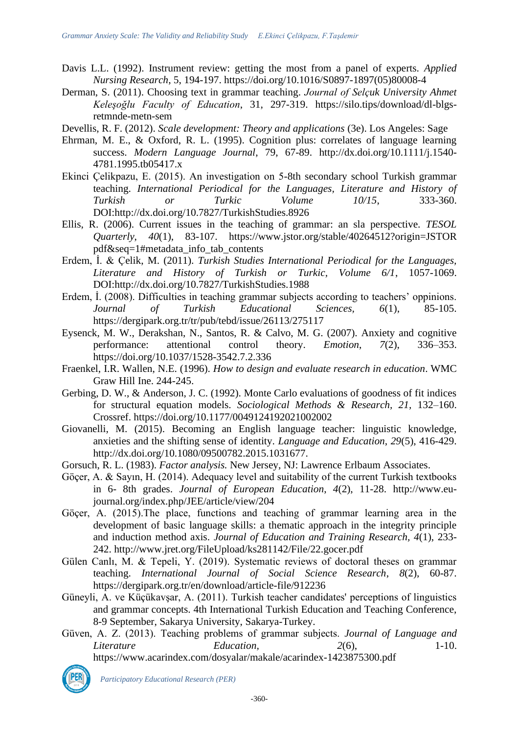- Davis L.L. (1992). Instrument review: getting the most from a panel of experts. *Applied Nursing Research*, 5, 194-197. [https://doi.org/10.1016/S0897-1897\(05\)80008-4](https://doi.org/10.1016/S0897-1897(05)80008-4)
- Derman, S. (2011). Choosing text in grammar teaching. *Journal of Selçuk University Ahmet Keleşoğlu Faculty of Education*, 31, 297-319. https://silo.tips/download/dl-blgsretmnde-metn-sem
- Devellis, R. F. (2012). *Scale development: Theory and applications* (3e). Los Angeles: Sage
- Ehrman, M. E., & Oxford, R. L. (1995). Cognition plus: correlates of language learning success. *Modern Language Journal*, 79, 67-89. [http://dx.doi.org/10.1111/j.1540-](http://dx.doi.org/10.1111/j.1540-4781.1995.tb05417.x) [4781.1995.tb05417.x](http://dx.doi.org/10.1111/j.1540-4781.1995.tb05417.x)
- Ekinci Çelikpazu, E. (2015). An investigation on 5-8th secondary school Turkish grammar teaching. *International Periodical for the Languages, Literature and History of Turkish or Turkic Volume 10/15*, 333-360. DOI[:http://dx.doi.org/10.7827/TurkishStudies.8926](http://dx.doi.org/10.7827/TurkishStudies.8926)
- Ellis, R. (2006). Current issues in the teaching of grammar: an sla perspective. *TESOL Quarterly*, *40*(1), 83-107. <https://www.jstor.org/stable/40264512?origin=JSTOR> pdf&seq=1#metadata\_info\_tab\_contents
- Erdem, İ. & Çelik, M. (2011). *Turkish Studies International Periodical for the Languages, Literature and History of Turkish or Turkic, Volume 6/1*, 1057-1069. DOI[:http://dx.doi.org/10.7827/TurkishStudies.1988](http://dx.doi.org/10.7827/TurkishStudies.1988)
- Erdem, İ. (2008). Difficulties in teaching grammar subjects according to teachers' oppinions. *Journal of Turkish Educational Sciences, 6*(1), 85-105. https://dergipark.org.tr/tr/pub/tebd/issue/26113/275117
- Eysenck, M. W., Derakshan, N., Santos, R. & Calvo, M. G. (2007). Anxiety and cognitive performance: attentional control theory. *Emotion*, *7*(2), 336–353. [https://doi.org/10.1037/1528-3542.7.2.336](https://content.apa.org/doi/10.1037/1528-3542.7.2.336)
- Fraenkel, I.R. Wallen, N.E. (1996). *How to design and evaluate research in education*. WMC Graw Hill Ine. 244-245.
- Gerbing, D. W., & Anderson, J. C. (1992). Monte Carlo evaluations of goodness of fit indices for structural equation models. *Sociological Methods & Research, 21,* 132–160. Crossref. [https://doi.org/10.1177/0049124192021002002](https://doi.org/10.1177%2F0049124192021002002)
- Giovanelli, M. (2015). Becoming an English language teacher: linguistic knowledge, anxieties and the shifting sense of identity. *Language and Education*, *29*(5), 416-429. http://dx.doi.org/10.1080/09500782.2015.1031677.
- Gorsuch, R. L. (1983). *Factor analysis.* New Jersey, NJ: Lawrence Erlbaum Associates.
- Göçer, A. & Sayın, H. (2014). Adequacy level and suitability of the current Turkish textbooks in 6- 8th grades. *Journal of European Education*, *4*(2), 11-28. http://www.eujournal.org/index.php/JEE/article/view/204
- Göçer, A. (2015).The place, functions and teaching of grammar learning area in the development of basic language skills: a thematic approach in the integrity principle and induction method axis. *Journal of Education and Training Research, 4*(1), 233- 242. http://www.jret.org/FileUpload/ks281142/File/22.gocer.pdf
- Gülen Canlı, M. & Tepeli, Y. (2019). Systematic reviews of doctoral theses on grammar teaching. *International Journal of Social Science Research*, *8*(2), 60-87. https://dergipark.org.tr/en/download/article-file/912236
- Güneyli, A. ve Küçükavşar, A. (2011). Turkish teacher candidates' perceptions of linguistics and grammar concepts. 4th International Turkish Education and Teaching Conference, 8-9 September, Sakarya University, Sakarya-Turkey.
- Güven, A. Z. (2013). Teaching problems of grammar subjects. *Journal of Language and Literature Education,* 2(6), 1-10.

https://www.acarindex.com/dosyalar/makale/acarindex-1423875300.pdf

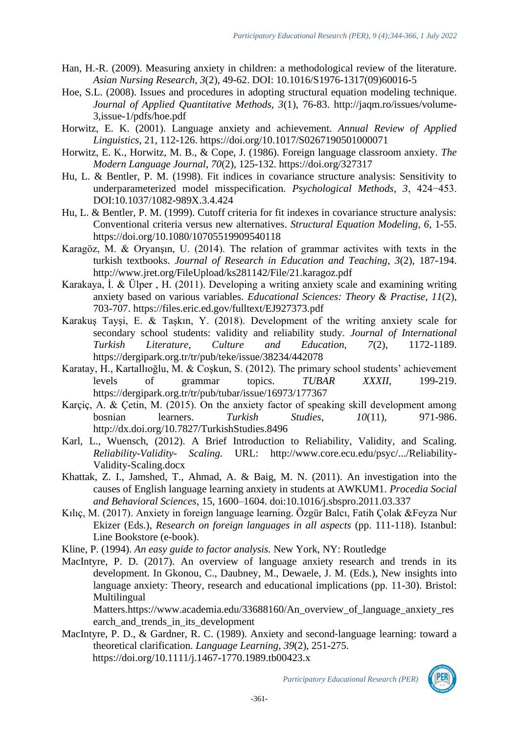- Han, H.-R. (2009). Measuring anxiety in children: a methodological review of the literature. *Asian Nursing Research*, *3*(2), 49-62. DOI: [10.1016/S1976-1317\(09\)60016-5](http://dx.doi.org/10.1016/S1976-1317(09)60016-5)
- Hoe, S.L. (2008). Issues and procedures in adopting structural equation modeling technique. *Journal of Applied Quantitative Methods, 3*(1), 76-83. http://jaqm.ro/issues/volume-3,issue-1/pdfs/hoe.pdf
- Horwitz, E. K. (2001). Language anxiety and achievement. *Annual Review of Applied Linguistics*, 21, 112-126.<https://doi.org/10.1017/S0267190501000071>
- Horwitz, E. K., Horwitz, M. B., & Cope, J. (1986). Foreign language classroom anxiety. *The Modern Language Journal*, *70*(2), 125-132. https://doi.org/327317
- Hu, L. & Bentler, P. M. (1998). Fit indices in covariance structure analysis: Sensitivity to underparameterized model misspecification. *Psychological Methods, 3*, 424−453. DOI[:10.1037/1082-989X.3.4.424](https://doi.org/10.1037/1082-989X.3.4.424)
- Hu, L. & Bentler, P. M. (1999). Cutoff criteria for fit indexes in covariance structure analysis: Conventional criteria versus new alternatives. *Structural Equation Modeling, 6,* 1-55. https://doi.org/10.1080/10705519909540118
- Karagöz, M. & Oryanşın, U. (2014). The relation of grammar activites with texts in the turkish textbooks. *Journal of Research in Education and Teaching*, *3*(2), 187-194. http://www.jret.org/FileUpload/ks281142/File/21.karagoz.pdf
- Karakaya, İ. & Ülper , H. (2011). Developing a writing anxiety scale and examining writing anxiety based on various variables. *Educational Sciences: Theory & Practise*, *11*(2), 703-707. https://files.eric.ed.gov/fulltext/EJ927373.pdf
- Karakuş Tayşi, E. & Taşkın, Y. (2018). Development of the writing anxiety scale for secondary school students: validity and reliability study. *Journal of International Turkish Literature, Culture and Education, 7*(2), 1172-1189. https://dergipark.org.tr/tr/pub/teke/issue/38234/442078
- Karatay, H., Kartallıoğlu, M. & Coşkun, S. (2012). The primary school students' achievement levels of grammar topics. *TUBAR XXXII*, 199-219. https://dergipark.org.tr/tr/pub/tubar/issue/16973/177367
- Karçiç, A. & Çetin, M. (2015). On the anxiety factor of speaking skill development among bosnian learners. *Turkish Studies*, *10*(11), 971-986. <http://dx.doi.org/10.7827/TurkishStudies.8496>
- Karl, L., Wuensch, (2012). A Brief Introduction to Reliability, Validity, and Scaling. *Reliability-Validity- Scaling.* URL: http://www.core.ecu.edu/psyc/.../Reliability-Validity-Scaling.docx
- Khattak, Z. I., Jamshed, T., Ahmad, A. & Baig, M. N. (2011). An investigation into the causes of English language learning anxiety in students at AWKUM1. *Procedia Social and Behavioral Sciences*, 15, 1600–1604. doi:10.1016/j.sbspro.2011.03.337
- Kılıç, M. (2017). Anxiety in foreign language learning. Özgür Balcı, Fatih Çolak &Feyza Nur Ekizer (Eds.), *Research on foreign languages in all aspects* (pp. 111-118). Istanbul: Line Bookstore (e-book).

Kline, P. (1994). *An easy guide to factor analysis.* New York, NY: Routledge

MacIntyre, P. D. (2017). An overview of language anxiety research and trends in its development. In Gkonou, C., Daubney, M., Dewaele, J. M. (Eds.), New insights into language anxiety: Theory, research and educational implications (pp. 11-30). Bristol: **Multilingual** 

Matters.https://www.academia.edu/33688160/An\_overview\_of\_language\_anxiety\_res earch\_and\_trends\_in\_its\_development

MacIntyre, P. D., & Gardner, R. C. (1989). Anxiety and second‐language learning: toward a theoretical clarification. *Language Learning*, *39*(2), 251-275. <https://doi.org/10.1111/j.1467-1770.1989.tb00423.x>

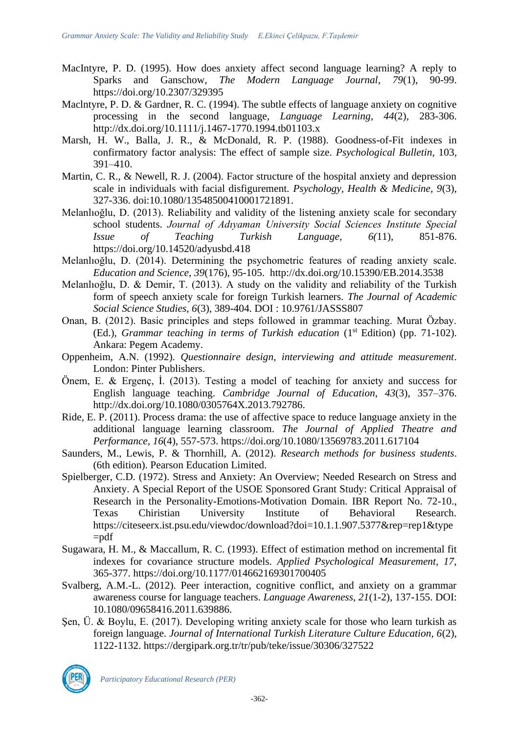- MacIntyre, P. D. (1995). How does anxiety affect second language learning? A reply to Sparks and Ganschow, *The Modern Language Journal*, *79*(1), 90-99. [https://doi.org/10.2307/329395](https://psycnet.apa.org/doi/10.2307/329395)
- MacIntyre, P. D. & Gardner, R. C. (1994). The subtle effects of language anxiety on cognitive processing in the second language, *Language Learning*, *44*(2), 283-306. [http://dx.doi.org/10.1111/j.1467-1770.1994.tb01103.](http://dx.doi.org/10.1111/j.1467-1770.1994.tb01103)x
- Marsh, H. W., Balla, J. R., & McDonald, R. P. (1988). Goodness-of-Fit indexes in confirmatory factor analysis: The effect of sample size. *Psychological Bulletin,* 103*,* 391–410.
- Martin, C. R., & Newell, R. J. (2004). Factor structure of the hospital anxiety and depression scale in individuals with facial disfigurement. *Psychology, Health & Medicine, 9*(3), 327-336. doi:10.1080/13548500410001721891.
- Melanlıoğlu, D. (2013). Reliability and validity of the listening anxiety scale for secondary school students. *Journal of Adıyaman University Social Sciences Institute Special Issue of Teaching Turkish Language*, *6(*11), 851-876. <https://doi.org/10.14520/adyusbd.418>
- Melanlıoğlu, D. (2014). Determining the psychometric features of reading anxiety scale. *Education and Science*, *39*(176), 95-105. <http://dx.doi.org/10.15390/EB.2014.3538>
- Melanlıoğlu, D. & Demir, T. (2013). A study on the validity and reliability of the Turkish form of speech anxiety scale for foreign Turkish learners. *The Journal of Academic Social Science Studies*, *6*(3), 389-404. DOI : [10.9761/JASSS807](http://dx.doi.org/10.9761/JASSS807)
- Onan, B. (2012). Basic principles and steps followed in grammar teaching. Murat Özbay. (Ed.), *Grammar teaching in terms of Turkish education* (1st Edition) (pp. 71-102). Ankara: Pegem Academy.
- Oppenheim, A.N. (1992). *Questionnaire design, interviewing and attitude measurement*. London: Pinter Publishers.
- Önem, E. & Ergenç, İ. (2013). Testing a model of teaching for anxiety and success for English language teaching. *Cambridge Journal of Education*, *43*(3), 357–376. http://dx.doi.org/10.1080/0305764X.2013.792786.
- Ride, E. P. (2011). Process drama: the use of affective space to reduce language anxiety in the additional language learning classroom. *The Journal of Applied Theatre and Performance*, *16*(4), 557-573.<https://doi.org/10.1080/13569783.2011.617104>
- Saunders, M., Lewis, P. & Thornhill, A. (2012). *Research methods for business students*. (6th edition). Pearson Education Limited.
- Spielberger, C.D. (1972). Stress and Anxiety: An Overview; Needed Research on Stress and Anxiety. A Special Report of the USOE Sponsored Grant Study: Critical Appraisal of Research in the Personality-Emotions-Motivation Domain. IBR Report No. 72-10., Texas Chiristian University Institute of Behavioral Research. https://citeseerx.ist.psu.edu/viewdoc/download?doi=10.1.1.907.5377&rep=rep1&type  $=$ pdf
- Sugawara, H. M., & Maccallum, R. C. (1993). Effect of estimation method on incremental fit indexes for covariance structure models. *Applied Psychological Measurement, 17*, 365-377. [https://doi.org/10.1177/014662169301700405](https://psycnet.apa.org/doi/10.1177/014662169301700405)
- Svalberg, A.M.-L. (2012). Peer interaction, cognitive conflict, and anxiety on a grammar awareness course for language teachers. *Language Awareness*, *21*(1-2), 137-155. DOI: 10.1080/09658416.2011.639886.
- Şen, Ü. & Boylu, E. (2017). Developing writing anxiety scale for those who learn turkish as foreign language. *Journal of International Turkish Literature Culture Education, 6*(2), 1122-1132. https://dergipark.org.tr/tr/pub/teke/issue/30306/327522

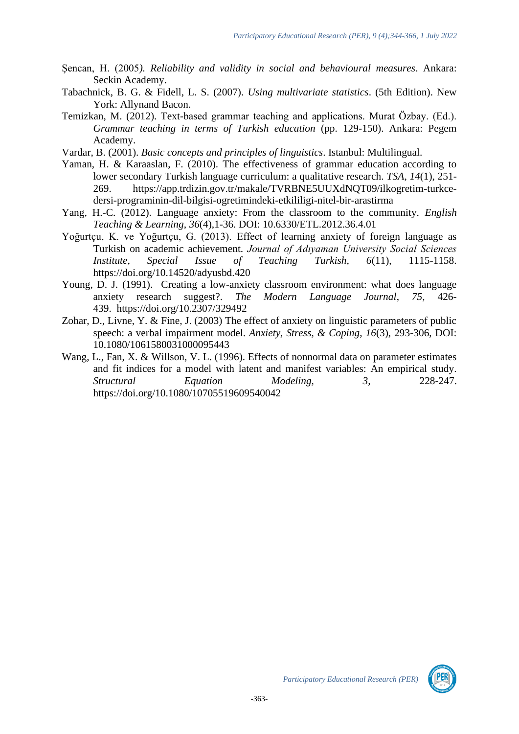- Şencan, H. (2005*). Reliability and validity in social and behavioural measures*. Ankara: Seckin Academy.
- Tabachnick, B. G. & Fidell, L. S. (2007). *Using multivariate statistics*. (5th Edition). New York: Allynand Bacon.
- Temizkan, M. (2012). Text-based grammar teaching and applications. Murat Özbay. (Ed.). *Grammar teaching in terms of Turkish education* (pp. 129-150). Ankara: Pegem Academy.
- Vardar, B. (2001). *Basic concepts and principles of linguistics*. Istanbul: Multilingual.
- Yaman, H. & Karaaslan, F. (2010). The effectiveness of grammar education according to lower secondary Turkish language curriculum: a qualitative research. *TSA*, *14*(1), 251- 269. https://app.trdizin.gov.tr/makale/TVRBNE5UUXdNQT09/ilkogretim-turkcedersi-programinin-dil-bilgisi-ogretimindeki-etkililigi-nitel-bir-arastirma
- Yang, H.-C. (2012). Language anxiety: From the classroom to the community. *English Teaching & Learning*, *36*(4),1-36. DOI: 10.6330/ETL.2012.36.4.01
- Yoğurtçu, K. ve Yoğurtçu, G. (2013). Effect of learning anxiety of foreign language as Turkish on academic achievement. *Journal of Adıyaman University Social Sciences Institute, Special Issue of Teaching Turkish, 6*(11), 1115-1158. <https://doi.org/10.14520/adyusbd.420>
- Young, D. J. (1991). Creating a low-anxiety classroom environment: what does language anxiety research suggest?. *The Modern Language Journal*, *75,* 426- 439. [https://doi.org/10.2307/329492](https://psycnet.apa.org/doi/10.2307/329492)
- Zohar, D., Livne, Y. & Fine, J. (2003) The effect of anxiety on linguistic parameters of public speech: a verbal impairment model. *Anxiety, Stress, & Coping*, *16*(3), 293-306, DOI: 10.1080/1061580031000095443
- Wang, L., Fan, X. & Willson, V. L. (1996). Effects of nonnormal data on parameter estimates and fit indices for a model with latent and manifest variables: An empirical study. *Structural Equation Modeling, 3,* 228-247. <https://doi.org/10.1080/10705519609540042>

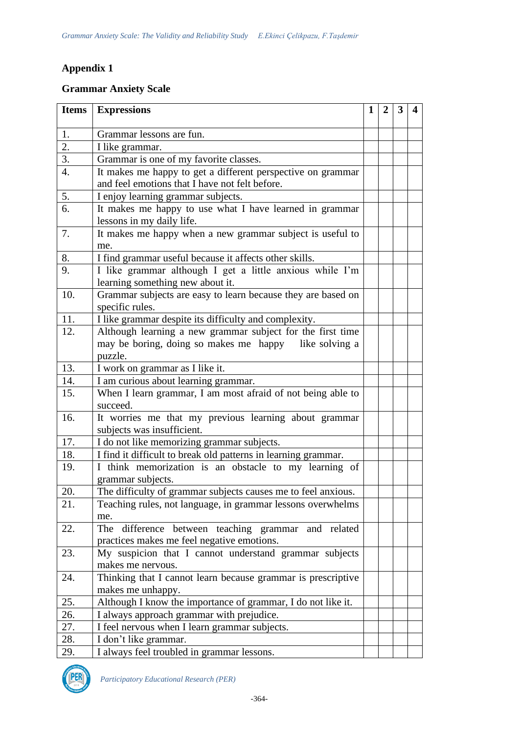# **Appendix 1**

# **Grammar Anxiety Scale**

| Items            | <b>Expressions</b>                                                       | 1 | 2 | 3 | 4 |
|------------------|--------------------------------------------------------------------------|---|---|---|---|
| 1.               | Grammar lessons are fun.                                                 |   |   |   |   |
| 2.               | I like grammar.                                                          |   |   |   |   |
| 3.               | Grammar is one of my favorite classes.                                   |   |   |   |   |
| $\overline{4}$ . | It makes me happy to get a different perspective on grammar              |   |   |   |   |
|                  | and feel emotions that I have not felt before.                           |   |   |   |   |
| 5.               | I enjoy learning grammar subjects.                                       |   |   |   |   |
| 6.               | It makes me happy to use what I have learned in grammar                  |   |   |   |   |
|                  | lessons in my daily life.                                                |   |   |   |   |
| 7.               | It makes me happy when a new grammar subject is useful to                |   |   |   |   |
|                  | me.                                                                      |   |   |   |   |
| 8.               | I find grammar useful because it affects other skills.                   |   |   |   |   |
| 9.               | I like grammar although I get a little anxious while I'm                 |   |   |   |   |
|                  | learning something new about it.                                         |   |   |   |   |
| 10.              | Grammar subjects are easy to learn because they are based on             |   |   |   |   |
|                  | specific rules.                                                          |   |   |   |   |
| 11.              | I like grammar despite its difficulty and complexity.                    |   |   |   |   |
| 12.              | Although learning a new grammar subject for the first time               |   |   |   |   |
|                  | may be boring, doing so makes me happy<br>like solving a                 |   |   |   |   |
|                  | puzzle.                                                                  |   |   |   |   |
| 13.              | I work on grammar as I like it.                                          |   |   |   |   |
| 14.              | I am curious about learning grammar.                                     |   |   |   |   |
| 15.              | When I learn grammar, I am most afraid of not being able to              |   |   |   |   |
| 16.              | succeed.                                                                 |   |   |   |   |
|                  | It worries me that my previous learning about grammar                    |   |   |   |   |
| 17.              | subjects was insufficient.<br>I do not like memorizing grammar subjects. |   |   |   |   |
| 18.              | I find it difficult to break old patterns in learning grammar.           |   |   |   |   |
| 19.              | I think memorization is an obstacle to my learning of                    |   |   |   |   |
|                  | grammar subjects.                                                        |   |   |   |   |
| 20.              | The difficulty of grammar subjects causes me to feel anxious.            |   |   |   |   |
| 21.              | Teaching rules, not language, in grammar lessons overwhelms              |   |   |   |   |
|                  | me.                                                                      |   |   |   |   |
| 22.              | The difference between teaching grammar and related                      |   |   |   |   |
|                  | practices makes me feel negative emotions.                               |   |   |   |   |
| 23.              | My suspicion that I cannot understand grammar subjects                   |   |   |   |   |
|                  | makes me nervous.                                                        |   |   |   |   |
| 24.              | Thinking that I cannot learn because grammar is prescriptive             |   |   |   |   |
|                  | makes me unhappy.                                                        |   |   |   |   |
| 25.              | Although I know the importance of grammar, I do not like it.             |   |   |   |   |
| 26.              | I always approach grammar with prejudice.                                |   |   |   |   |
| 27.              | I feel nervous when I learn grammar subjects.                            |   |   |   |   |
| 28.              | I don't like grammar.                                                    |   |   |   |   |
| 29.              | I always feel troubled in grammar lessons.                               |   |   |   |   |

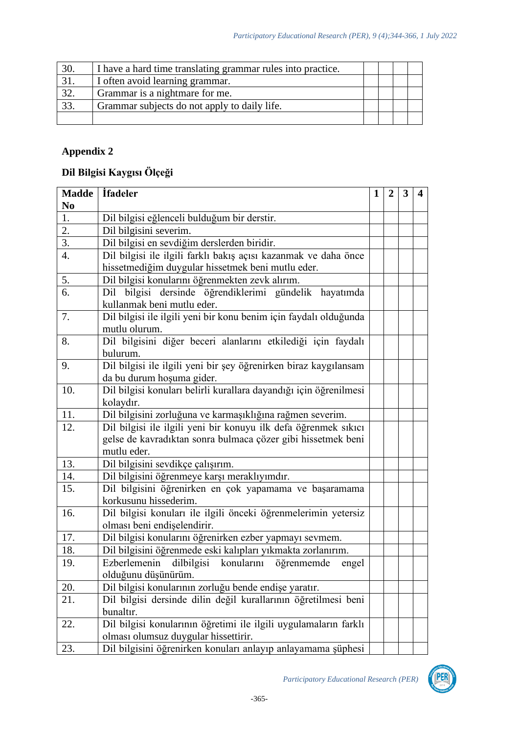| 30. | I have a hard time translating grammar rules into practice. |  |  |
|-----|-------------------------------------------------------------|--|--|
|     | I often avoid learning grammar.                             |  |  |
| 32. | Grammar is a nightmare for me.                              |  |  |
| 33. | Grammar subjects do not apply to daily life.                |  |  |
|     |                                                             |  |  |

# **Appendix 2**

# **Dil Bilgisi Kaygısı Ölçeği**

| <b>Madde</b>   | <i>ifadeler</i>                                                   |  |  | 3 | 4 |
|----------------|-------------------------------------------------------------------|--|--|---|---|
| N <sub>0</sub> |                                                                   |  |  |   |   |
| 1.             | Dil bilgisi eğlenceli bulduğum bir derstir.                       |  |  |   |   |
| 2.             | Dil bilgisini severim.                                            |  |  |   |   |
| 3.             | Dil bilgisi en sevdiğim derslerden biridir.                       |  |  |   |   |
| 4.             | Dil bilgisi ile ilgili farklı bakış açısı kazanmak ve daha önce   |  |  |   |   |
|                | hissetmediğim duygular hissetmek beni mutlu eder.                 |  |  |   |   |
| 5.             | Dil bilgisi konularını öğrenmekten zevk alırım.                   |  |  |   |   |
| 6.             | Dil bilgisi dersinde öğrendiklerimi gündelik hayatımda            |  |  |   |   |
|                | kullanmak beni mutlu eder.                                        |  |  |   |   |
| 7.             | Dil bilgisi ile ilgili yeni bir konu benim için faydalı olduğunda |  |  |   |   |
|                | mutlu olurum.                                                     |  |  |   |   |
| 8.             | Dil bilgisini diğer beceri alanlarını etkilediği için faydalı     |  |  |   |   |
|                | bulurum.                                                          |  |  |   |   |
| 9.             | Dil bilgisi ile ilgili yeni bir şey öğrenirken biraz kaygılansam  |  |  |   |   |
|                | da bu durum hoşuma gider.                                         |  |  |   |   |
| 10.            | Dil bilgisi konuları belirli kurallara dayandığı için öğrenilmesi |  |  |   |   |
|                | kolaydır.                                                         |  |  |   |   |
| 11.            | Dil bilgisini zorluğuna ve karmaşıklığına rağmen severim.         |  |  |   |   |
| 12.            | Dil bilgisi ile ilgili yeni bir konuyu ilk defa öğrenmek sıkıcı   |  |  |   |   |
|                | gelse de kavradıktan sonra bulmaca çözer gibi hissetmek beni      |  |  |   |   |
|                | mutlu eder.                                                       |  |  |   |   |
| 13.            | Dil bilgisini sevdikçe çalışırım.                                 |  |  |   |   |
| 14.            | Dil bilgisini öğrenmeye karşı meraklıyımdır.                      |  |  |   |   |
| 15.            | Dil bilgisini öğrenirken en çok yapamama ve başaramama            |  |  |   |   |
|                | korkusunu hissederim.                                             |  |  |   |   |
| 16.            | Dil bilgisi konuları ile ilgili önceki öğrenmelerimin yetersiz    |  |  |   |   |
|                | olması beni endişelendirir.                                       |  |  |   |   |
| 17.            | Dil bilgisi konularını öğrenirken ezber yapmayı sevmem.           |  |  |   |   |
| 18.            | Dil bilgisini öğrenmede eski kalıpları yıkmakta zorlanırım.       |  |  |   |   |
| 19.            | Ezberlemenin dilbilgisi konularını öğrenmemde<br>engel            |  |  |   |   |
|                | olduğunu düşünürüm.                                               |  |  |   |   |
| 20.            | Dil bilgisi konularının zorluğu bende endişe yaratır.             |  |  |   |   |
| 21.            | Dil bilgisi dersinde dilin değil kurallarının öğretilmesi beni    |  |  |   |   |
|                | bunaltır.                                                         |  |  |   |   |
| 22.            | Dil bilgisi konularının öğretimi ile ilgili uygulamaların farklı  |  |  |   |   |
|                | olması olumsuz duygular hissettirir.                              |  |  |   |   |
| 23.            | Dil bilgisini öğrenirken konuları anlayıp anlayamama şüphesi      |  |  |   |   |